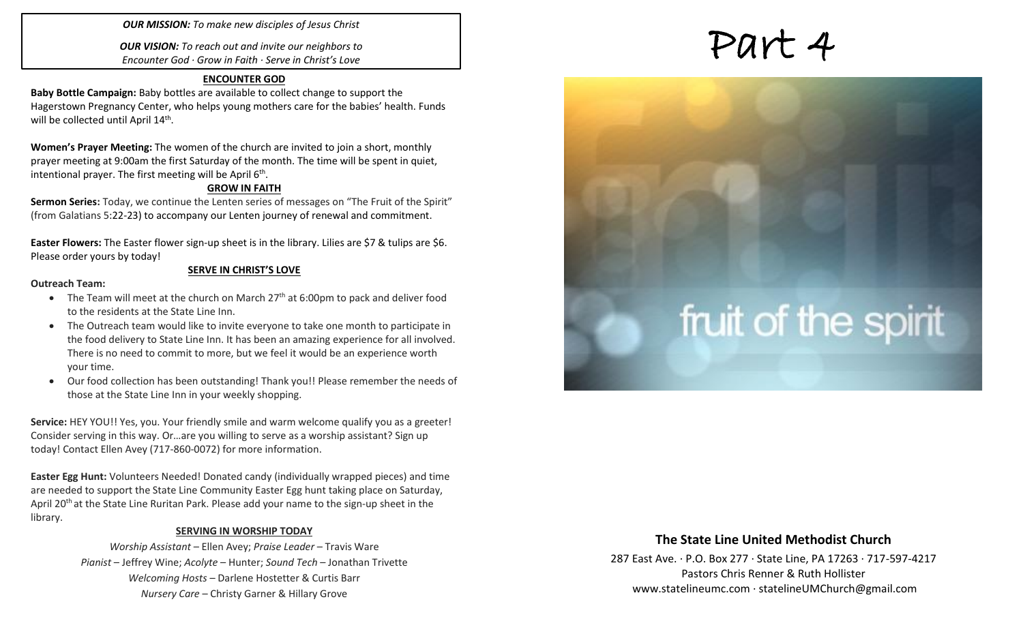### *OUR MISSION: To make new disciples of Jesus Christ*

*OUR VISION: To reach out and invite our neighbors to Encounter God · Grow in Faith · Serve in Christ's Love*

### **ENCOUNTER GOD**

**Baby Bottle Campaign:** Baby bottles are available to collect change to support the Hagerstown Pregnancy Center, who helps young mothers care for the babies' health. Funds will be collected until April 14<sup>th</sup>.

**Women's Prayer Meeting:** The women of the church are invited to join a short, monthly prayer meeting at 9:00am the first Saturday of the month. The time will be spent in quiet, intentional prayer. The first meeting will be April  $6<sup>th</sup>$ .

### **GROW IN FAITH**

**Sermon Series:** Today, we continue the Lenten series of messages on "The Fruit of the Spirit" (from Galatians 5:22-23) to accompany our Lenten journey of renewal and commitment.

**Easter Flowers:** The Easter flower sign-up sheet is in the library. Lilies are \$7 & tulips are \$6. Please order yours by today!

**SERVE IN CHRIST'S LOVE**

### **Outreach Team:**

- The Team will meet at the church on March  $27<sup>th</sup>$  at 6:00pm to pack and deliver food to the residents at the State Line Inn.
- The Outreach team would like to invite everyone to take one month to participate in the food delivery to State Line Inn. It has been an amazing experience for all involved. There is no need to commit to more, but we feel it would be an experience worth your time.
- Our food collection has been outstanding! Thank you!! Please remember the needs of those at the State Line Inn in your weekly shopping.

**Service:** HEY YOU!! Yes, you. Your friendly smile and warm welcome qualify you as a greeter! Consider serving in this way. Or…are you willing to serve as a worship assistant? Sign up today! Contact Ellen Avey (717-860-0072) for more information.

**Easter Egg Hunt:** Volunteers Needed! Donated candy (individually wrapped pieces) and time are needed to support the State Line Community Easter Egg hunt taking place on Saturday, April 20<sup>th</sup> at the State Line Ruritan Park. Please add your name to the sign-up sheet in the library.

### **SERVING IN WORSHIP TODAY**

*Worship Assistant* – Ellen Avey; *Praise Leader* – Travis Ware *Pianist* – Jeffrey Wine; *Acolyte* – Hunter; *Sound Tech* – Jonathan Trivette *Welcoming Hosts* – Darlene Hostetter & Curtis Barr *Nursery Care* – Christy Garner & Hillary Grove

# Part 4

# fruit of the spirit

### **The State Line United Methodist Church**

287 East Ave. · P.O. Box 277 · State Line, PA 17263 · 717-597-4217 Pastors Chris Renner & Ruth Hollister [www.statelineumc.com](http://www.statelineumc.com/) · statelineUMChurch@gmail.com